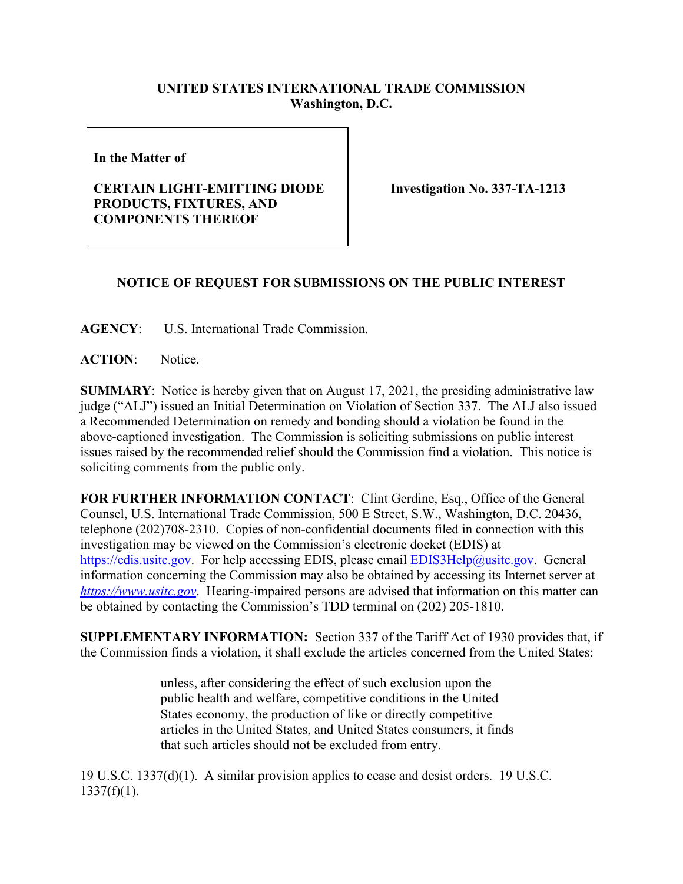## **UNITED STATES INTERNATIONAL TRADE COMMISSION Washington, D.C.**

**In the Matter of** 

## **CERTAIN LIGHT-EMITTING DIODE PRODUCTS, FIXTURES, AND COMPONENTS THEREOF**

**Investigation No. 337-TA-1213**

## **NOTICE OF REQUEST FOR SUBMISSIONS ON THE PUBLIC INTEREST**

**AGENCY**: U.S. International Trade Commission.

**ACTION**: Notice.

**SUMMARY**: Notice is hereby given that on August 17, 2021, the presiding administrative law judge ("ALJ") issued an Initial Determination on Violation of Section 337. The ALJ also issued a Recommended Determination on remedy and bonding should a violation be found in the above-captioned investigation. The Commission is soliciting submissions on public interest issues raised by the recommended relief should the Commission find a violation. This notice is soliciting comments from the public only.

**FOR FURTHER INFORMATION CONTACT**: Clint Gerdine, Esq., Office of the General Counsel, U.S. International Trade Commission, 500 E Street, S.W., Washington, D.C. 20436, telephone (202)708-2310. Copies of non-confidential documents filed in connection with this investigation may be viewed on the Commission's electronic docket (EDIS) at [https://edis.usitc.gov.](https://edis.usitc.gov/) For help accessing EDIS, please email [EDIS3Help@usitc.gov.](mailto:EDIS3Help@usitc.gov) General information concerning the Commission may also be obtained by accessing its Internet server at *[https://www.usitc.gov](https://www.usitc.gov/)*. Hearing-impaired persons are advised that information on this matter can be obtained by contacting the Commission's TDD terminal on (202) 205-1810.

**SUPPLEMENTARY INFORMATION:** Section 337 of the Tariff Act of 1930 provides that, if the Commission finds a violation, it shall exclude the articles concerned from the United States:

> unless, after considering the effect of such exclusion upon the public health and welfare, competitive conditions in the United States economy, the production of like or directly competitive articles in the United States, and United States consumers, it finds that such articles should not be excluded from entry.

19 U.S.C. 1337(d)(1). A similar provision applies to cease and desist orders. 19 U.S.C.  $1337(f)(1)$ .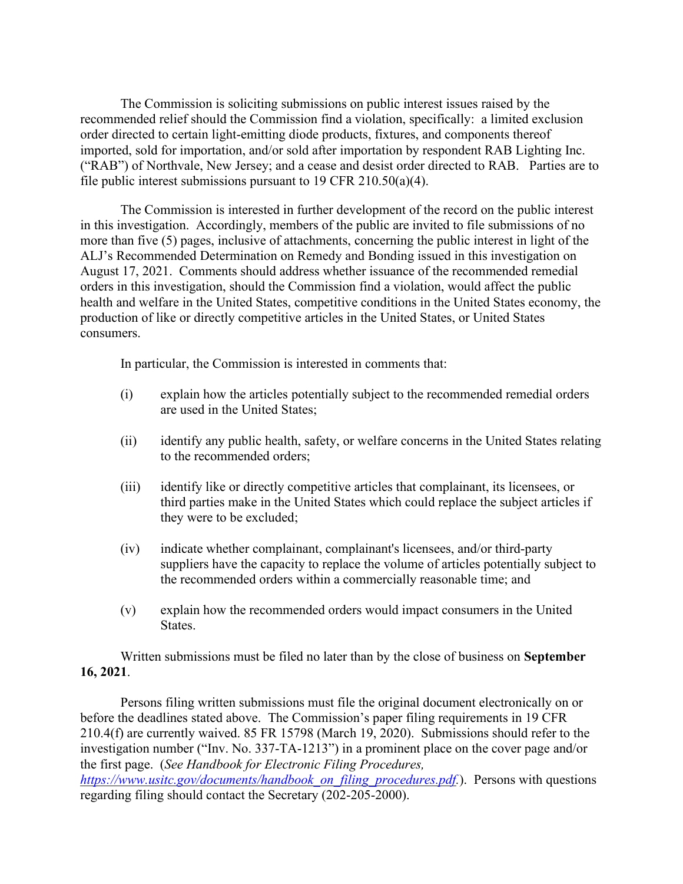The Commission is soliciting submissions on public interest issues raised by the recommended relief should the Commission find a violation, specifically: a limited exclusion order directed to certain light-emitting diode products, fixtures, and components thereof imported, sold for importation, and/or sold after importation by respondent RAB Lighting Inc. ("RAB") of Northvale, New Jersey; and a cease and desist order directed to RAB. Parties are to file public interest submissions pursuant to 19 CFR 210.50(a)(4).

The Commission is interested in further development of the record on the public interest in this investigation. Accordingly, members of the public are invited to file submissions of no more than five (5) pages, inclusive of attachments, concerning the public interest in light of the ALJ's Recommended Determination on Remedy and Bonding issued in this investigation on August 17, 2021. Comments should address whether issuance of the recommended remedial orders in this investigation, should the Commission find a violation, would affect the public health and welfare in the United States, competitive conditions in the United States economy, the production of like or directly competitive articles in the United States, or United States consumers.

In particular, the Commission is interested in comments that:

- (i) explain how the articles potentially subject to the recommended remedial orders are used in the United States;
- (ii) identify any public health, safety, or welfare concerns in the United States relating to the recommended orders;
- (iii) identify like or directly competitive articles that complainant, its licensees, or third parties make in the United States which could replace the subject articles if they were to be excluded;
- (iv) indicate whether complainant, complainant's licensees, and/or third-party suppliers have the capacity to replace the volume of articles potentially subject to the recommended orders within a commercially reasonable time; and
- (v) explain how the recommended orders would impact consumers in the United States.

Written submissions must be filed no later than by the close of business on **September 16, 2021**.

Persons filing written submissions must file the original document electronically on or before the deadlines stated above. The Commission's paper filing requirements in 19 CFR 210.4(f) are currently waived. 85 FR 15798 (March 19, 2020). Submissions should refer to the investigation number ("Inv. No. 337-TA-1213") in a prominent place on the cover page and/or the first page. (*See Handbook for Electronic Filing Procedures, [https://www.usitc.gov/documents/handbook\\_on\\_filing\\_procedures.pdf.](https://www.usitc.gov/documents/handbook_on_filing_procedures.pdf)*). Persons with questions regarding filing should contact the Secretary (202-205-2000).